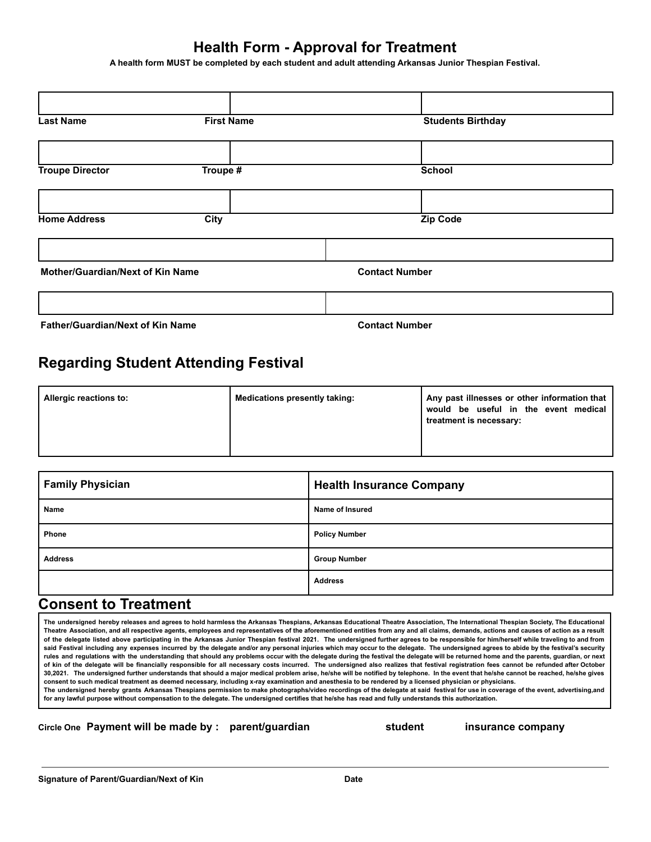## **Health Form - Approval for Treatment**

**A health form MUST be completed by each student and adult attending Arkansas Junior Thespian Festival.**

| <b>Last Name</b>                        | <b>First Name</b> | <b>Students Birthday</b> |
|-----------------------------------------|-------------------|--------------------------|
|                                         |                   |                          |
| <b>Troupe Director</b>                  | Troupe #          | <b>School</b>            |
|                                         |                   |                          |
| <b>Home Address</b>                     | City              | <b>Zip Code</b>          |
|                                         |                   |                          |
| <b>Mother/Guardian/Next of Kin Name</b> |                   | <b>Contact Number</b>    |
|                                         |                   |                          |
| <b>Father/Guardian/Next of Kin Name</b> |                   | <b>Contact Number</b>    |

## **Regarding Student Attending Festival**

| Allergic reactions to: | Medications presently taking: | Any past illnesses or other information that<br>would be useful in the event medical<br>treatment is necessary: |
|------------------------|-------------------------------|-----------------------------------------------------------------------------------------------------------------|
|------------------------|-------------------------------|-----------------------------------------------------------------------------------------------------------------|

| <b>Family Physician</b> | <b>Health Insurance Company</b> |
|-------------------------|---------------------------------|
| Name                    | Name of Insured                 |
| Phone                   | <b>Policy Number</b>            |
| <b>Address</b>          | <b>Group Number</b>             |
|                         | <b>Address</b>                  |

## **Consent to Treatment**

The undersigned hereby releases and agrees to hold harmless the Arkansas Thespians, Arkansas Educational Theatre Association, The International Thespian Society, The Educational Theatre Association, and all respective agents, employees and representatives of the aforementioned entities from any and all claims, demands, actions and causes of action as a result of the delegate listed above participating in the Arkansas Junior Thespian festival 2021. The undersigned further agrees to be responsible for him/herself while traveling to and from said Festival including any expenses incurred by the delegate and/or any personal injuries which may occur to the delegate. The undersigned agrees to abide by the festival's security rules and regulations with the understanding that should any problems occur with the delegate during the festival the delegate will be returned home and the parents, guardian, or next of kin of the delegate will be financially responsible for all necessary costs incurred. The undersigned also realizes that festival registration fees cannot be refunded after October 30,2021. The undersigned further understands that should a major medical problem arise, he/she will be notified by telephone. In the event that he/she cannot be reached, he/she gives **consent to such medical treatment as deemed necessary, including x-ray examination and anesthesia to be rendered by a licensed physician or physicians.**

The undersigned hereby grants Arkansas Thespians permission to make photographs/video recordings of the delegate at said festival for use in coverage of the event, advertising,and **for any lawful purpose without compensation to the delegate. The undersigned certifies that he/she has read and fully understands this authorization.**

**Circle One Payment will be made by : parent/guardian student insurance company**

**Signature of Parent/Guardian/Next of Kin Date**